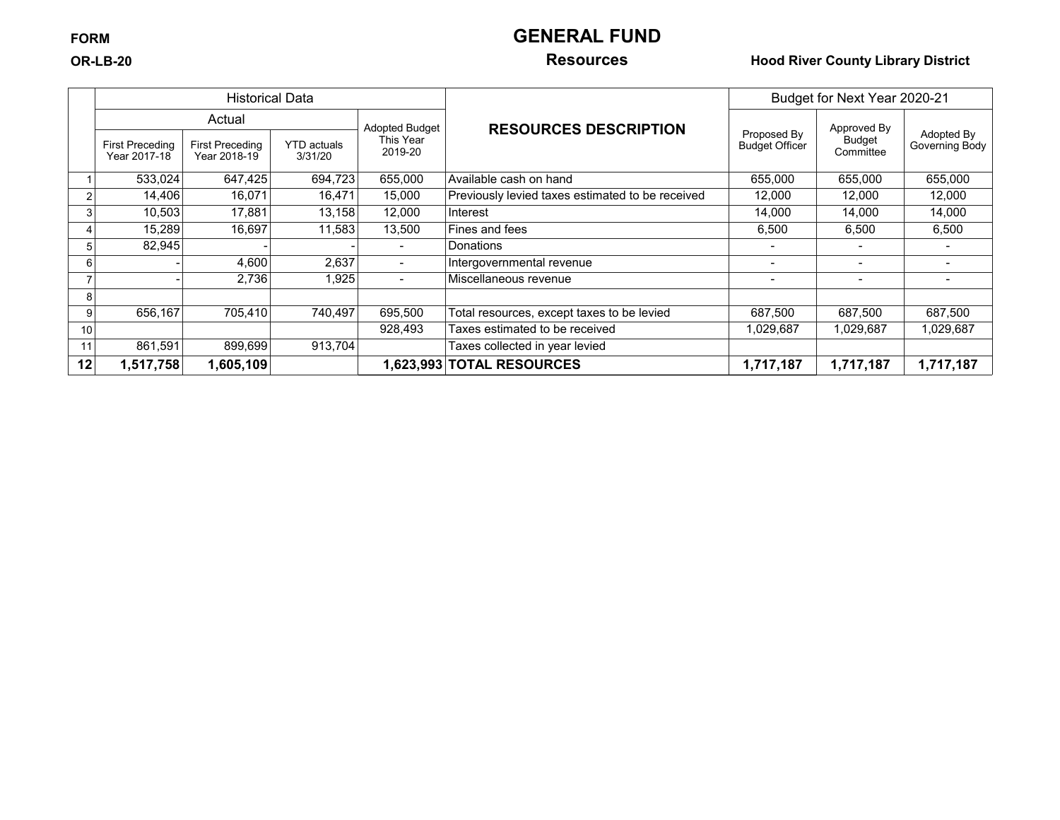## **FORM GENERAL FUND**

### **OR-LB-20 Resources Hood River County Library District**

|     |                                        | <b>Historical Data</b>                 |                               |                          |                                                  |                                      | Budget for Next Year 2020-21 |                              |
|-----|----------------------------------------|----------------------------------------|-------------------------------|--------------------------|--------------------------------------------------|--------------------------------------|------------------------------|------------------------------|
|     |                                        | Actual<br><b>Adopted Budget</b>        |                               |                          |                                                  |                                      | Approved By                  |                              |
|     | <b>First Preceding</b><br>Year 2017-18 | <b>First Preceding</b><br>Year 2018-19 | <b>YTD</b> actuals<br>3/31/20 | This Year<br>2019-20     | <b>RESOURCES DESCRIPTION</b>                     | Proposed By<br><b>Budget Officer</b> | Budget<br>Committee          | Adopted By<br>Governing Body |
|     | 533,024                                | 647.425                                | 694,723                       | 655,000                  | Available cash on hand                           | 655,000                              | 655,000                      | 655,000                      |
|     | 14,406                                 | 16,071                                 | 16,471                        | 15,000                   | Previously levied taxes estimated to be received | 12,000                               | 12,000                       | 12,000                       |
|     | 10,503                                 | 17,881                                 | 13,158                        | 12,000                   | Interest                                         | 14,000                               | 14,000                       | 14.000                       |
|     | 15,289                                 | 16,697                                 | 11,583                        | 13,500                   | Fines and fees                                   | 6,500                                | 6,500                        | 6,500                        |
| 'n. | 82,945                                 |                                        |                               |                          | Donations                                        |                                      |                              |                              |
| 6   |                                        | 4,600                                  | 2,637                         | $\overline{\phantom{0}}$ | Intergovernmental revenue                        |                                      |                              |                              |
|     |                                        | 2,736                                  | 1,925                         | $\blacksquare$           | Miscellaneous revenue                            |                                      |                              |                              |
| 8   |                                        |                                        |                               |                          |                                                  |                                      |                              |                              |
| 9   | 656,167                                | 705,410                                | 740,497                       | 695,500                  | Total resources, except taxes to be levied       | 687,500                              | 687,500                      | 687,500                      |
| 10  |                                        |                                        |                               | 928,493                  | Taxes estimated to be received                   | 1,029,687                            | 1,029,687                    | 1,029,687                    |
| 11  | 861,591                                | 899,699                                | 913,704                       |                          | Taxes collected in year levied                   |                                      |                              |                              |
| 12  | 1,517,758                              | 1,605,109                              |                               |                          | 1,623,993 TOTAL RESOURCES                        | 1,717,187                            | 1,717,187                    | 1,717,187                    |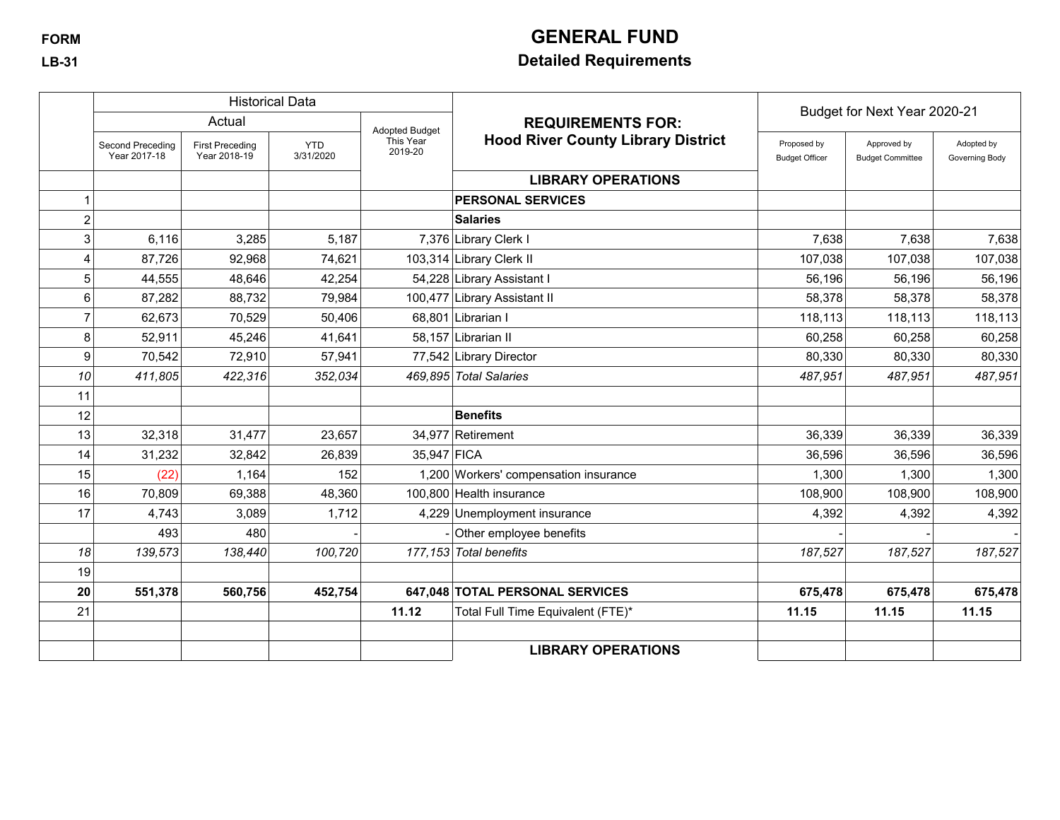# **FORM GENERAL FUND**

## **LB-31 Detailed Requirements**

|                |                                  |                                        | <b>Historical Data</b>  |                       |                                           | Budget for Next Year 2020-21         |                                        |                              |
|----------------|----------------------------------|----------------------------------------|-------------------------|-----------------------|-------------------------------------------|--------------------------------------|----------------------------------------|------------------------------|
|                |                                  | Actual                                 |                         | <b>Adopted Budget</b> | <b>REQUIREMENTS FOR:</b>                  |                                      |                                        |                              |
|                | Second Preceding<br>Year 2017-18 | <b>First Preceding</b><br>Year 2018-19 | <b>YTD</b><br>3/31/2020 | This Year<br>2019-20  | <b>Hood River County Library District</b> | Proposed by<br><b>Budget Officer</b> | Approved by<br><b>Budget Committee</b> | Adopted by<br>Governing Body |
|                |                                  |                                        |                         |                       | <b>LIBRARY OPERATIONS</b>                 |                                      |                                        |                              |
|                |                                  |                                        |                         |                       | <b>PERSONAL SERVICES</b>                  |                                      |                                        |                              |
| $\overline{2}$ |                                  |                                        |                         |                       | <b>Salaries</b>                           |                                      |                                        |                              |
| 3              | 6,116                            | 3,285                                  | 5,187                   |                       | 7,376 Library Clerk I                     | 7,638                                | 7,638                                  | 7,638                        |
| 4              | 87,726                           | 92,968                                 | 74,621                  |                       | 103,314 Library Clerk II                  | 107,038                              | 107,038                                | 107,038                      |
| 5              | 44,555                           | 48,646                                 | 42,254                  |                       | 54,228 Library Assistant I                | 56,196                               | 56,196                                 | 56,196                       |
| 6 <sup>1</sup> | 87,282                           | 88,732                                 | 79,984                  |                       | 100,477 Library Assistant II              | 58,378                               | 58,378                                 | 58,378                       |
| $\overline{7}$ | 62,673                           | 70,529                                 | 50,406                  |                       | 68,801 Librarian I                        | 118,113                              | 118,113                                | 118,113                      |
| 8              | 52,911                           | 45,246                                 | 41,641                  |                       | 58,157 Librarian II                       | 60,258                               | 60,258                                 | 60,258                       |
| 9              | 70,542                           | 72,910                                 | 57,941                  |                       | 77,542 Library Director                   | 80,330                               | 80,330                                 | 80,330                       |
| 10             | 411,805                          | 422,316                                | 352,034                 |                       | 469,895 Total Salaries                    | 487,951                              | 487,951                                | 487,951                      |
| 11             |                                  |                                        |                         |                       |                                           |                                      |                                        |                              |
| 12             |                                  |                                        |                         |                       | <b>Benefits</b>                           |                                      |                                        |                              |
| 13             | 32,318                           | 31,477                                 | 23,657                  |                       | 34,977 Retirement                         | 36,339                               | 36,339                                 | 36,339                       |
| 14             | 31,232                           | 32,842                                 | 26,839                  | 35,947 FICA           |                                           | 36,596                               | 36,596                                 | 36,596                       |
| 15             | (22)                             | 1,164                                  | 152                     |                       | 1,200 Workers' compensation insurance     | 1,300                                | 1,300                                  | 1,300                        |
| 16             | 70,809                           | 69,388                                 | 48,360                  |                       | 100,800 Health insurance                  | 108,900                              | 108,900                                | 108,900                      |
| 17             | 4,743                            | 3,089                                  | 1,712                   |                       | 4,229 Unemployment insurance              | 4,392                                | 4,392                                  | 4,392                        |
|                | 493                              | 480                                    |                         |                       | Other employee benefits                   |                                      |                                        |                              |
| 18             | 139,573                          | 138,440                                | 100,720                 |                       | 177,153 Total benefits                    | 187,527                              | 187,527                                | 187,527                      |
| 19             |                                  |                                        |                         |                       |                                           |                                      |                                        |                              |
| 20             | 551,378                          | 560,756                                | 452,754                 |                       | 647,048 TOTAL PERSONAL SERVICES           | 675,478                              | 675,478                                | 675,478                      |
| 21             |                                  |                                        |                         | 11.12                 | Total Full Time Equivalent (FTE)*         | 11.15                                | 11.15                                  | 11.15                        |
|                |                                  |                                        |                         |                       |                                           |                                      |                                        |                              |
|                |                                  |                                        |                         |                       | <b>LIBRARY OPERATIONS</b>                 |                                      |                                        |                              |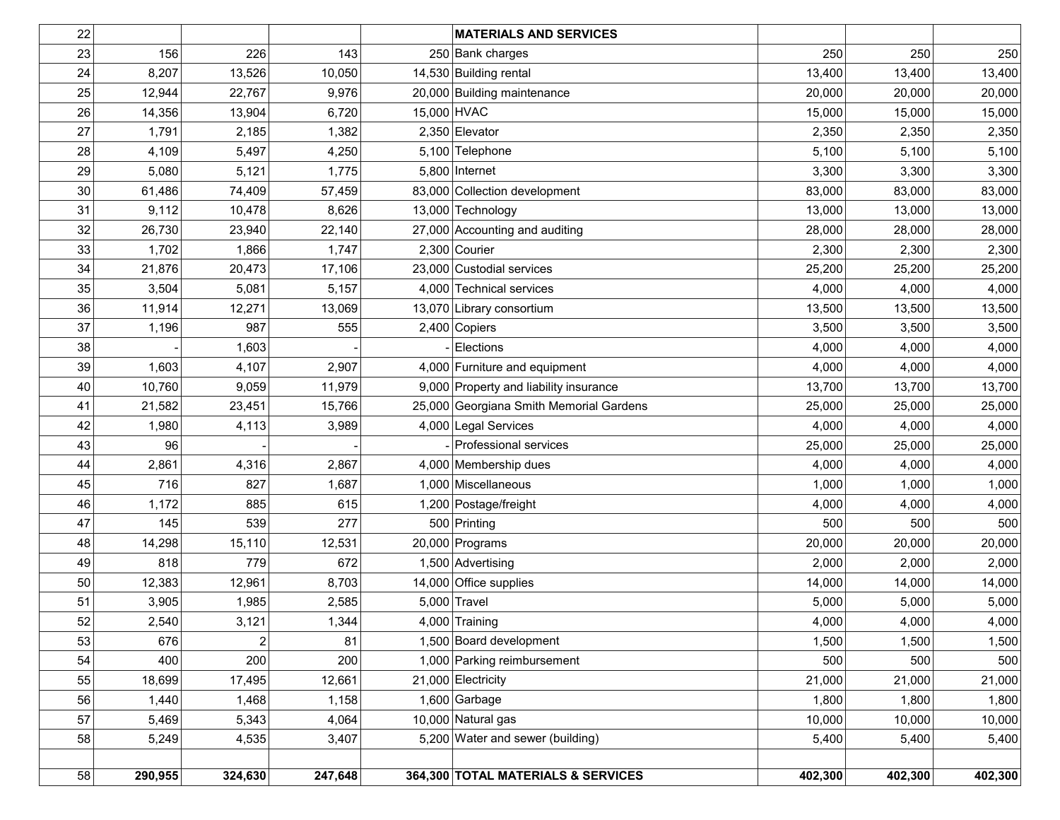| 22     |         |         |         | <b>MATERIALS AND SERVICES</b>           |         |         |         |
|--------|---------|---------|---------|-----------------------------------------|---------|---------|---------|
| 23     | 156     | 226     | 143     | 250 Bank charges                        | 250     | 250     | 250     |
| 24     | 8,207   | 13,526  | 10,050  | 14,530 Building rental                  | 13,400  | 13,400  | 13,400  |
| 25     | 12,944  | 22,767  | 9,976   | 20,000 Building maintenance             | 20,000  | 20,000  | 20,000  |
| 26     | 14,356  | 13,904  | 6,720   | 15,000 HVAC                             | 15,000  | 15,000  | 15,000  |
| 27     | 1,791   | 2,185   | 1,382   | 2,350 Elevator                          | 2,350   | 2,350   | 2,350   |
| 28     | 4,109   | 5,497   | 4,250   | 5,100 Telephone                         | 5,100   | 5,100   | 5,100   |
| 29     | 5,080   | 5,121   | 1,775   | $5,800$ Internet                        | 3,300   | 3,300   | 3,300   |
| 30     | 61,486  | 74,409  | 57,459  | 83,000 Collection development           | 83,000  | 83,000  | 83,000  |
| 31     | 9,112   | 10,478  | 8,626   | 13,000 Technology                       | 13,000  | 13,000  | 13,000  |
| 32     | 26,730  | 23,940  | 22,140  | 27,000 Accounting and auditing          | 28,000  | 28,000  | 28,000  |
| 33     | 1,702   | 1,866   | 1,747   | $2,300$ Courier                         | 2,300   | 2,300   | 2,300   |
| 34     | 21,876  | 20,473  | 17,106  | 23,000 Custodial services               | 25,200  | 25,200  | 25,200  |
| 35     | 3,504   | 5,081   | 5,157   | 4,000 Technical services                | 4,000   | 4,000   | 4,000   |
| 36     | 11,914  | 12,271  | 13,069  | 13,070 Library consortium               | 13,500  | 13,500  | 13,500  |
| 37     | 1,196   | 987     | 555     | $2,400$ Copiers                         | 3,500   | 3,500   | 3,500   |
| 38     |         | 1,603   |         | Elections                               | 4,000   | 4,000   | 4,000   |
| 39     | 1,603   | 4,107   | 2,907   | 4,000 Furniture and equipment           | 4,000   | 4,000   | 4,000   |
| 40     | 10,760  | 9,059   | 11,979  | 9,000 Property and liability insurance  | 13,700  | 13,700  | 13,700  |
| 41     | 21,582  | 23,451  | 15,766  | 25,000 Georgiana Smith Memorial Gardens | 25,000  | 25,000  | 25,000  |
| 42     | 1,980   | 4,113   | 3,989   | 4,000 Legal Services                    | 4,000   | 4,000   | 4,000   |
| 43     | 96      |         |         | Professional services                   | 25,000  | 25,000  | 25,000  |
| 44     | 2,861   | 4,316   | 2,867   | 4,000 Membership dues                   | 4,000   | 4,000   | 4,000   |
| 45     | 716     | 827     | 1,687   | 1,000 Miscellaneous                     | 1,000   | 1,000   | 1,000   |
| 46     | 1,172   | 885     | 615     | 1,200 Postage/freight                   | 4,000   | 4,000   | 4,000   |
| 47     | 145     | 539     | 277     | 500 Printing                            | 500     | 500     | 500     |
| 48     | 14,298  | 15,110  | 12,531  | 20,000 Programs                         | 20,000  | 20,000  | 20,000  |
| 49     | 818     | 779     | 672     | 1,500 Advertising                       | 2,000   | 2,000   | 2,000   |
| 50     | 12,383  | 12,961  | 8,703   | 14,000 Office supplies                  | 14,000  | 14,000  | 14,000  |
| 51     | 3,905   | 1,985   | 2,585   | $5,000$ Travel                          | 5,000   | 5,000   | 5,000   |
| $52\,$ | 2,540   | 3,121   | 1,344   | $4,000$ Training                        | 4,000   | 4,000   | 4,000   |
| 53     | 676     | 2       | 81      | 1,500 Board development                 | 1,500   | 1,500   | 1,500   |
| 54     | 400     | 200     | 200     | 1,000 Parking reimbursement             | 500     | 500     | 500     |
| 55     | 18,699  | 17,495  | 12,661  | 21,000 Electricity                      | 21,000  | 21,000  | 21,000  |
| 56     | 1,440   | 1,468   | 1,158   | $1,600$ Garbage                         | 1,800   | 1,800   | 1,800   |
| 57     | 5,469   | 5,343   | 4,064   | 10,000 Natural gas                      | 10,000  | 10,000  | 10,000  |
| 58     | 5,249   | 4,535   | 3,407   | 5,200 Water and sewer (building)        | 5,400   | 5,400   | 5,400   |
|        |         |         |         |                                         |         |         |         |
| 58     | 290,955 | 324,630 | 247,648 | 364,300 TOTAL MATERIALS & SERVICES      | 402,300 | 402,300 | 402,300 |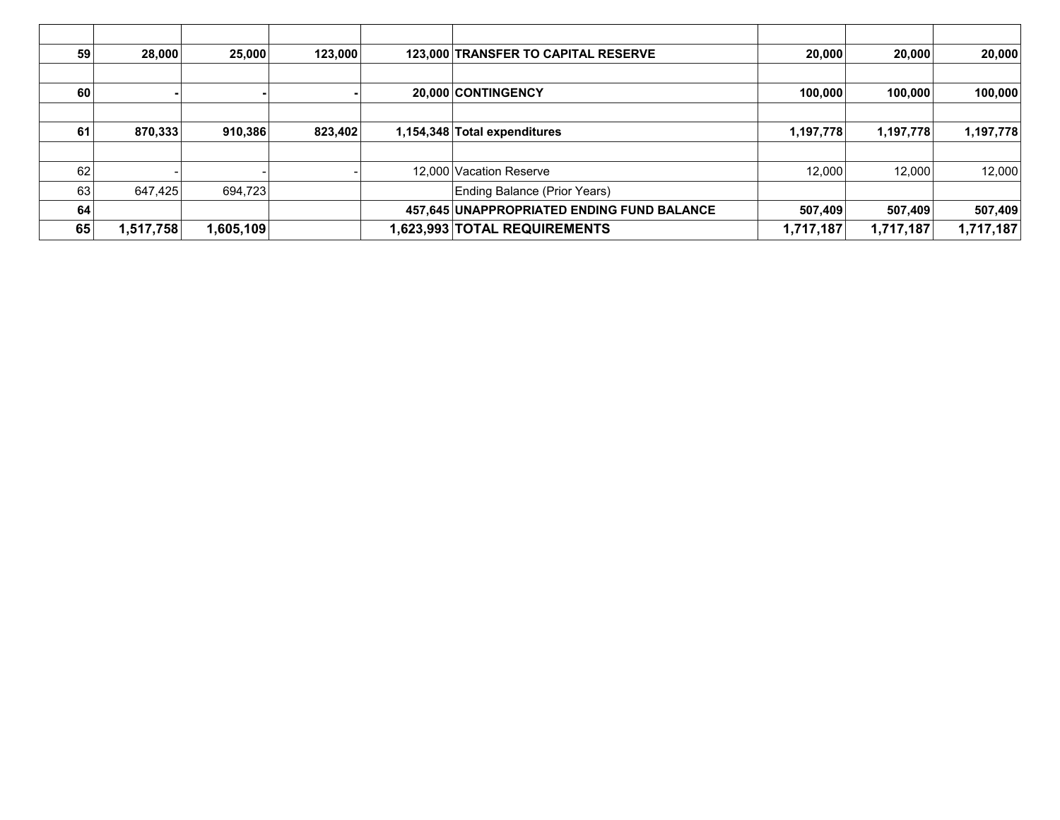| 59 | 28,000    | 25,000    | 123,000 | 123,000 TRANSFER TO CAPITAL RESERVE        | 20,000    | 20,000    | 20,000    |
|----|-----------|-----------|---------|--------------------------------------------|-----------|-----------|-----------|
|    |           |           |         |                                            |           |           |           |
| 60 |           |           |         | 20.000 CONTINGENCY                         | 100,000   | 100.000   | 100,000   |
|    |           |           |         |                                            |           |           |           |
| 61 | 870,333   | 910,386   | 823,402 | 1,154,348 Total expenditures               | 1,197,778 | 1,197,778 | 1,197,778 |
|    |           |           |         |                                            |           |           |           |
| 62 |           |           |         | 12,000 Vacation Reserve                    | 12.000    | 12,000    | 12,000    |
| 63 | 647.425   | 694.723   |         | Ending Balance (Prior Years)               |           |           |           |
| 64 |           |           |         | 457,645 UNAPPROPRIATED ENDING FUND BALANCE | 507,409   | 507,409   | 507,409   |
| 65 | 1,517,758 | 1,605,109 |         | 1,623,993 TOTAL REQUIREMENTS               | 1,717,187 | 1,717,187 | 1,717,187 |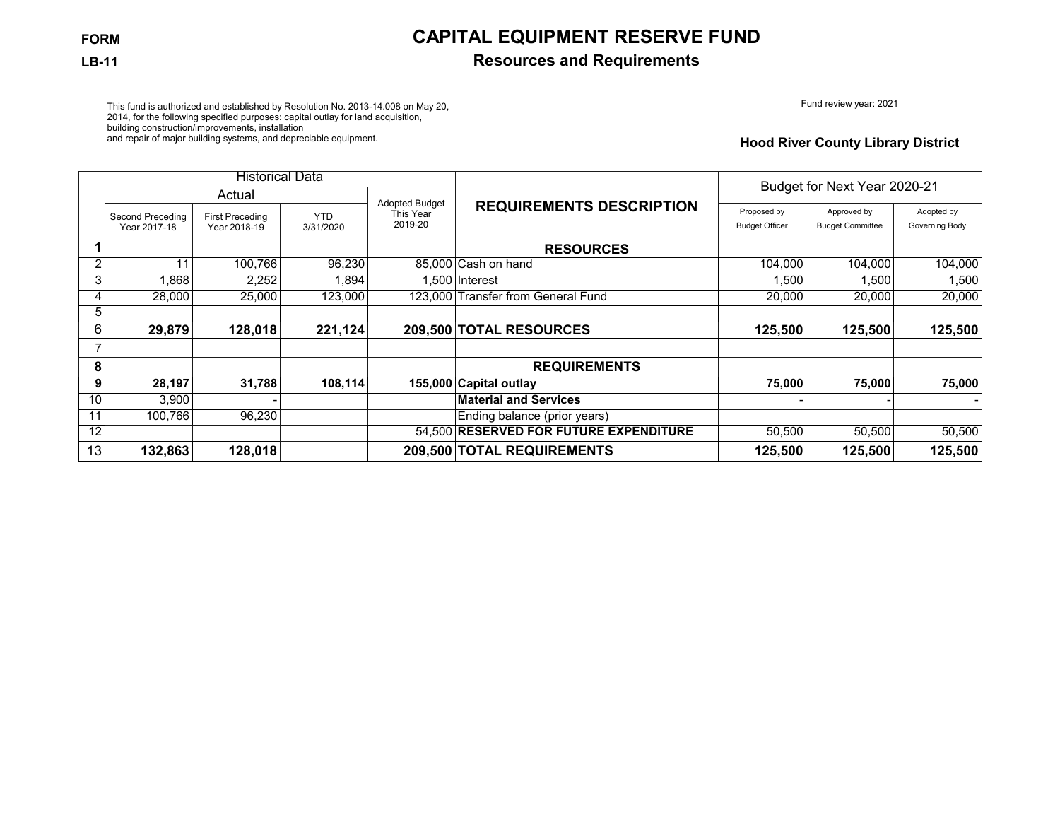## **FORM CAPITAL EQUIPMENT RESERVE FUND**

### **LB-11 Resources and Requirements**

Fund review year: 2021

This fund is authorized and established by Resolution No. 2013-14.008 on May 20, 2014, for the following specified purposes: capital outlay for land acquisition, building construction/improvements, installation and repair of major building systems, and depreciable equipment.

### **Hood River County Library District**

|                |                                  | <b>Historical Data</b>                 |                         |                                               |                                        |                                      | Budget for Next Year 2020-21           |                              |  |
|----------------|----------------------------------|----------------------------------------|-------------------------|-----------------------------------------------|----------------------------------------|--------------------------------------|----------------------------------------|------------------------------|--|
|                |                                  | Actual                                 |                         |                                               |                                        |                                      |                                        |                              |  |
|                | Second Preceding<br>Year 2017-18 | <b>First Preceding</b><br>Year 2018-19 | <b>YTD</b><br>3/31/2020 | <b>Adopted Budget</b><br>This Year<br>2019-20 | <b>REQUIREMENTS DESCRIPTION</b>        | Proposed by<br><b>Budget Officer</b> | Approved by<br><b>Budget Committee</b> | Adopted by<br>Governing Body |  |
|                |                                  |                                        |                         |                                               | <b>RESOURCES</b>                       |                                      |                                        |                              |  |
| $\overline{2}$ | 11                               | 100,766                                | 96,230                  |                                               | 85,000 Cash on hand                    | 104,000                              | 104,000                                | 104,000                      |  |
| 3              | 1,868                            | 2,252                                  | .894                    |                                               | .500 Interest                          | 1,500                                | 1,500                                  | 1,500                        |  |
| 4              | 28,000                           | 25,000                                 | 123,000                 | 123.000                                       | Transfer from General Fund             | 20,000                               | 20,000                                 | 20,000                       |  |
| 5              |                                  |                                        |                         |                                               |                                        |                                      |                                        |                              |  |
| 6              | 29,879                           | 128,018                                | 221,124                 |                                               | 209,500 TOTAL RESOURCES                | 125,500                              | 125,500                                | 125,500                      |  |
|                |                                  |                                        |                         |                                               |                                        |                                      |                                        |                              |  |
| 8              |                                  |                                        |                         |                                               | <b>REQUIREMENTS</b>                    |                                      |                                        |                              |  |
| 9              | 28,197                           | 31,788                                 | 108,114                 |                                               | 155,000 Capital outlay                 | 75,000                               | 75,000                                 | 75,000                       |  |
| 10             | 3,900                            |                                        |                         |                                               | <b>Material and Services</b>           |                                      |                                        |                              |  |
| 11             | 100,766                          | 96,230                                 |                         |                                               | Ending balance (prior years)           |                                      |                                        |                              |  |
| 12             |                                  |                                        |                         |                                               | 54,500 RESERVED FOR FUTURE EXPENDITURE | 50,500                               | 50,500                                 | 50,500                       |  |
| 13             | 132,863                          | 128,018                                |                         |                                               | 209,500 TOTAL REQUIREMENTS             | 125,500                              | 125,500                                | 125,500                      |  |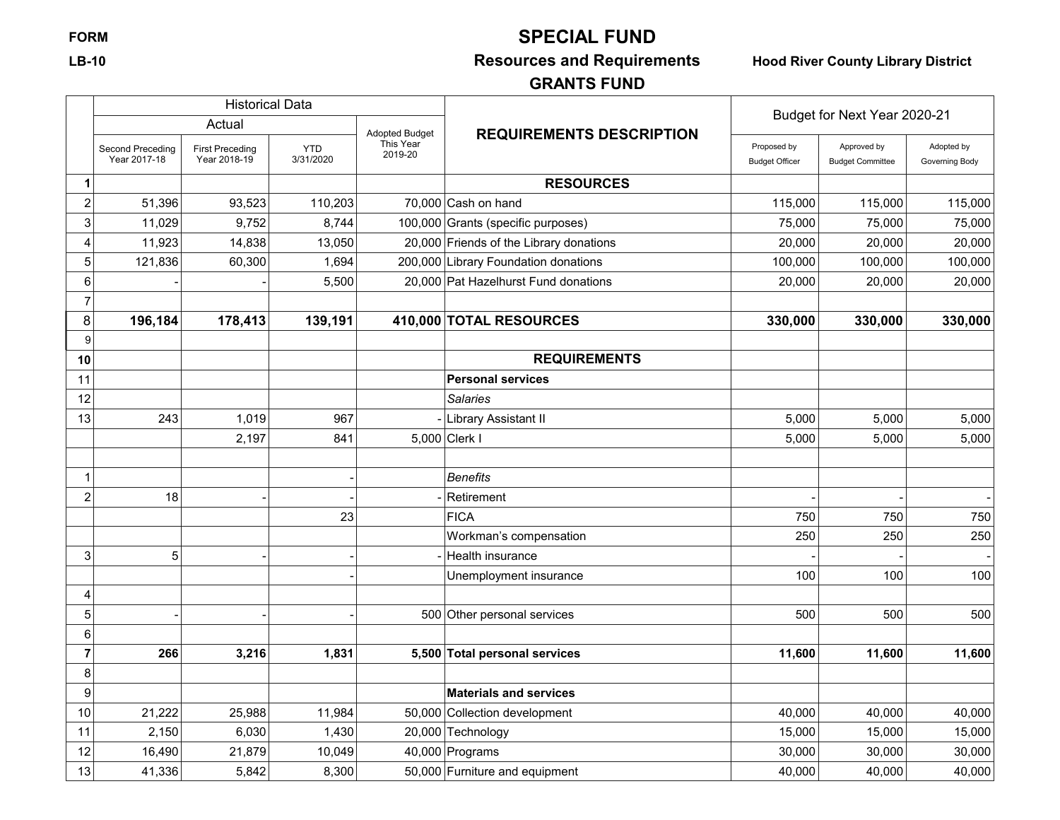# **FORM SPECIAL FUND**

## **LB-10 Resources and Requirements Hood River County Library District**

## **GRANTS FUND**

|                | <b>Historical Data</b>           |                                        |                         |                       |                                         | Budget for Next Year 2020-21         |                                        |                              |
|----------------|----------------------------------|----------------------------------------|-------------------------|-----------------------|-----------------------------------------|--------------------------------------|----------------------------------------|------------------------------|
|                |                                  | Actual                                 |                         | <b>Adopted Budget</b> | <b>REQUIREMENTS DESCRIPTION</b>         |                                      |                                        |                              |
|                | Second Preceding<br>Year 2017-18 | <b>First Preceding</b><br>Year 2018-19 | <b>YTD</b><br>3/31/2020 | This Year<br>2019-20  |                                         | Proposed by<br><b>Budget Officer</b> | Approved by<br><b>Budget Committee</b> | Adopted by<br>Governing Body |
| 1              |                                  |                                        |                         |                       | <b>RESOURCES</b>                        |                                      |                                        |                              |
| $\overline{c}$ | 51,396                           | 93,523                                 | 110,203                 |                       | $70,000$ Cash on hand                   | 115,000                              | 115,000                                | 115,000                      |
| 3              | 11,029                           | 9,752                                  | 8,744                   |                       | 100,000 Grants (specific purposes)      | 75,000                               | 75,000                                 | 75,000                       |
| 4              | 11,923                           | 14,838                                 | 13,050                  |                       | 20,000 Friends of the Library donations | 20,000                               | 20,000                                 | 20,000                       |
| 5              | 121,836                          | 60,300                                 | 1,694                   |                       | 200,000 Library Foundation donations    | 100,000                              | 100,000                                | 100,000                      |
| 6              |                                  |                                        | 5,500                   |                       | 20,000 Pat Hazelhurst Fund donations    | 20,000                               | 20,000                                 | 20,000                       |
| $\overline{7}$ |                                  |                                        |                         |                       |                                         |                                      |                                        |                              |
| 8              | 196,184                          | 178,413                                | 139,191                 |                       | 410,000 TOTAL RESOURCES                 | 330,000                              | 330,000                                | 330,000                      |
| 9              |                                  |                                        |                         |                       |                                         |                                      |                                        |                              |
| 10             |                                  |                                        |                         |                       | <b>REQUIREMENTS</b>                     |                                      |                                        |                              |
| 11             |                                  |                                        |                         |                       | <b>Personal services</b>                |                                      |                                        |                              |
| 12             |                                  |                                        |                         |                       | Salaries                                |                                      |                                        |                              |
| 13             | 243                              | 1,019                                  | 967                     |                       | Library Assistant II                    | 5,000                                | 5,000                                  | 5,000                        |
|                |                                  | 2,197                                  | 841                     |                       | 5,000 Clerk I                           | 5,000                                | 5.000                                  | 5,000                        |
|                |                                  |                                        |                         |                       |                                         |                                      |                                        |                              |
| 1              |                                  |                                        |                         |                       | Benefits                                |                                      |                                        |                              |
| $\overline{c}$ | 18                               |                                        |                         |                       | Retirement                              |                                      |                                        |                              |
|                |                                  |                                        | 23                      |                       | <b>FICA</b>                             | 750                                  | 750                                    | 750                          |
|                |                                  |                                        |                         |                       | Workman's compensation                  | 250                                  | 250                                    | 250                          |
| 3              | 5                                |                                        |                         |                       | Health insurance                        |                                      |                                        |                              |
|                |                                  |                                        |                         |                       | Unemployment insurance                  | 100                                  | 100                                    | 100                          |
| 4              |                                  |                                        |                         |                       |                                         |                                      |                                        |                              |
| 5              |                                  |                                        |                         |                       | 500 Other personal services             | 500                                  | 500                                    | 500                          |
| 6              |                                  |                                        |                         |                       |                                         |                                      |                                        |                              |
| $\overline{7}$ | 266                              | 3,216                                  | 1,831                   |                       | 5,500 Total personal services           | 11,600                               | 11,600                                 | 11,600                       |
| 8              |                                  |                                        |                         |                       |                                         |                                      |                                        |                              |
| 9              |                                  |                                        |                         |                       | <b>Materials and services</b>           |                                      |                                        |                              |
| 10             | 21,222                           | 25,988                                 | 11,984                  |                       | 50,000 Collection development           | 40,000                               | 40,000                                 | 40,000                       |
| 11             | 2,150                            | 6,030                                  | 1,430                   |                       | 20,000 Technology                       | 15,000                               | 15,000                                 | 15,000                       |
| 12             | 16,490                           | 21,879                                 | 10,049                  |                       | 40,000 Programs                         | 30,000                               | 30,000                                 | 30,000                       |
| 13             | 41,336                           | 5,842                                  | 8,300                   |                       | 50,000 Furniture and equipment          | 40,000                               | 40,000                                 | 40,000                       |